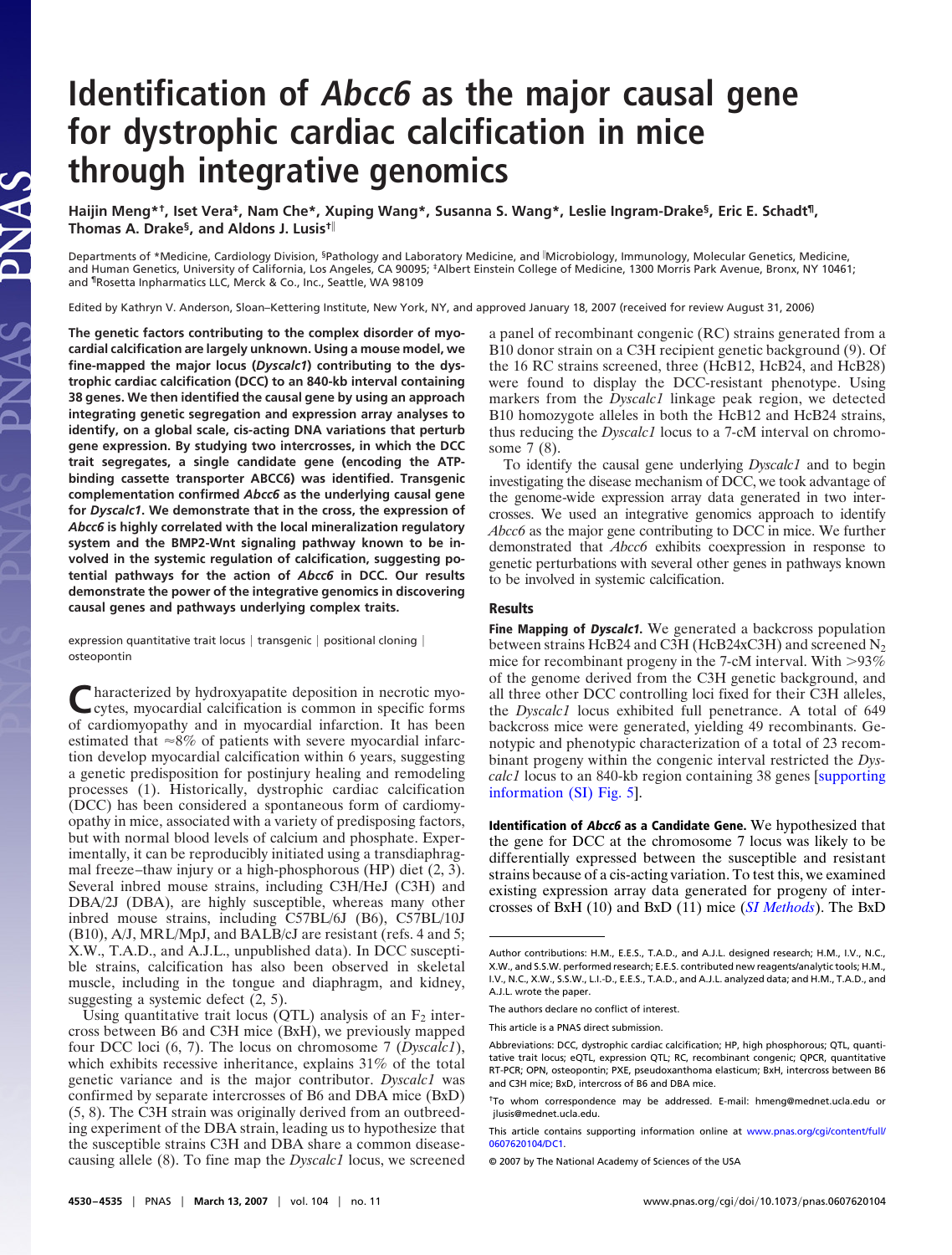## **Identification of Abcc6 as the major causal gene for dystrophic cardiac calcification in mice through integrative genomics**

**Haijin Meng\*†, Iset Vera‡, Nam Che\*, Xuping Wang\*, Susanna S. Wang\*, Leslie Ingram-Drake§, Eric E. Schadt¶, Thomas A. Drake§, and Aldons J. Lusis†**

Departments of \*Medicine, Cardiology Division, <sup>§</sup>Pathology and Laboratory Medicine, and <sup>|</sup>Microbiology, Immunology, Molecular Genetics, Medicine,<br>and Human Genetics, University of California, Los Angeles, CA 90095; ‡Albe and ¶Rosetta Inpharmatics LLC, Merck & Co., Inc., Seattle, WA 98109

Edited by Kathryn V. Anderson, Sloan–Kettering Institute, New York, NY, and approved January 18, 2007 (received for review August 31, 2006)

**The genetic factors contributing to the complex disorder of myocardial calcification are largely unknown. Using a mouse model, we fine-mapped the major locus (***Dyscalc1***) contributing to the dystrophic cardiac calcification (DCC) to an 840-kb interval containing 38 genes. We then identified the causal gene by using an approach integrating genetic segregation and expression array analyses to identify, on a global scale, cis-acting DNA variations that perturb gene expression. By studying two intercrosses, in which the DCC trait segregates, a single candidate gene (encoding the ATPbinding cassette transporter ABCC6) was identified. Transgenic complementation confirmed** *Abcc6* **as the underlying causal gene for** *Dyscalc1***. We demonstrate that in the cross, the expression of** *Abcc6* **is highly correlated with the local mineralization regulatory system and the BMP2-Wnt signaling pathway known to be involved in the systemic regulation of calcification, suggesting potential pathways for the action of** *Abcc6* **in DCC. Our results demonstrate the power of the integrative genomics in discovering causal genes and pathways underlying complex traits.**

**JAS** 

expression quantitative trait locus | transgenic | positional cloning | osteopontin

**Pharacterized by hydroxyapatite deposition in necrotic myo**cytes, myocardial calcification is common in specific forms of cardiomyopathy and in myocardial infarction. It has been estimated that  $\approx 8\%$  of patients with severe myocardial infarction develop myocardial calcification within 6 years, suggesting a genetic predisposition for postinjury healing and remodeling processes (1). Historically, dystrophic cardiac calcification (DCC) has been considered a spontaneous form of cardiomyopathy in mice, associated with a variety of predisposing factors, but with normal blood levels of calcium and phosphate. Experimentally, it can be reproducibly initiated using a transdiaphragmal freeze–thaw injury or a high-phosphorous (HP) diet (2, 3). Several inbred mouse strains, including C3H/HeJ (C3H) and DBA/2J (DBA), are highly susceptible, whereas many other inbred mouse strains, including C57BL/6J (B6), C57BL/10J (B10), A/J, MRL/MpJ, and BALB/cJ are resistant (refs. 4 and 5; X.W., T.A.D., and A.J.L., unpublished data). In DCC susceptible strains, calcification has also been observed in skeletal muscle, including in the tongue and diaphragm, and kidney, suggesting a systemic defect (2, 5).

Using quantitative trait locus (QTL) analysis of an  $F_2$  intercross between B6 and C3H mice (BxH), we previously mapped four DCC loci (6, 7). The locus on chromosome 7 (*Dyscalc1*), which exhibits recessive inheritance, explains 31% of the total genetic variance and is the major contributor. *Dyscalc1* was confirmed by separate intercrosses of B6 and DBA mice (BxD) (5, 8). The C3H strain was originally derived from an outbreeding experiment of the DBA strain, leading us to hypothesize that the susceptible strains C3H and DBA share a common diseasecausing allele (8). To fine map the *Dyscalc1* locus, we screened a panel of recombinant congenic (RC) strains generated from a B10 donor strain on a C3H recipient genetic background (9). Of the 16 RC strains screened, three (HcB12, HcB24, and HcB28) were found to display the DCC-resistant phenotype. Using markers from the *Dyscalc1* linkage peak region, we detected B10 homozygote alleles in both the HcB12 and HcB24 strains, thus reducing the *Dyscalc1* locus to a 7-cM interval on chromosome 7 (8).

To identify the causal gene underlying *Dyscalc1* and to begin investigating the disease mechanism of DCC, we took advantage of the genome-wide expression array data generated in two intercrosses. We used an integrative genomics approach to identify *Abcc6* as the major gene contributing to DCC in mice. We further demonstrated that *Abcc6* exhibits coexpression in response to genetic perturbations with several other genes in pathways known to be involved in systemic calcification.

## **Results**

**Fine Mapping of Dyscalc1.** We generated a backcross population between strains HcB24 and C3H (HcB24xC3H) and screened  $N_2$ mice for recombinant progeny in the 7-cM interval. With  $>93\%$ of the genome derived from the C3H genetic background, and all three other DCC controlling loci fixed for their C3H alleles, the *Dyscalc1* locus exhibited full penetrance. A total of 649 backcross mice were generated, yielding 49 recombinants. Genotypic and phenotypic characterization of a total of 23 recombinant progeny within the congenic interval restricted the *Dyscalc1* locus to an 840-kb region containing 38 genes [\[supporting](http://www.pnas.org/cgi/content/full/0607620104/DC1) [information \(SI\) Fig. 5\]](http://www.pnas.org/cgi/content/full/0607620104/DC1).

**Identification of Abcc6 as a Candidate Gene.** We hypothesized that the gene for DCC at the chromosome 7 locus was likely to be differentially expressed between the susceptible and resistant strains because of a cis-acting variation. To test this, we examined existing expression array data generated for progeny of intercrosses of BxH (10) and BxD (11) mice (*[SI Methods](http://www.pnas.org/cgi/content/full/0607620104/DC1)*). The BxD

Author contributions: H.M., E.E.S., T.A.D., and A.J.L. designed research; H.M., I.V., N.C., X.W., and S.S.W. performed research; E.E.S. contributed new reagents/analytic tools; H.M., I.V., N.C., X.W., S.S.W., L.I.-D., E.E.S., T.A.D., and A.J.L. analyzed data; and H.M., T.A.D., and A.J.L. wrote the paper.

The authors declare no conflict of interest.

This article is a PNAS direct submission.

Abbreviations: DCC, dystrophic cardiac calcification; HP, high phosphorous; QTL, quantitative trait locus; eQTL, expression QTL; RC, recombinant congenic; QPCR, quantitative RT-PCR; OPN, osteopontin; PXE, pseudoxanthoma elasticum; BxH, intercross between B6 and C3H mice; BxD, intercross of B6 and DBA mice.

<sup>†</sup>To whom correspondence may be addressed. E-mail: hmeng@mednet.ucla.edu or jlusis@mednet.ucla.edu.

This article contains supporting information online at [www.pnas.org/cgi/content/full/](http://www.pnas.org/cgi/content/full/0607620104/DC1) [0607620104/DC1.](http://www.pnas.org/cgi/content/full/0607620104/DC1)

<sup>© 2007</sup> by The National Academy of Sciences of the USA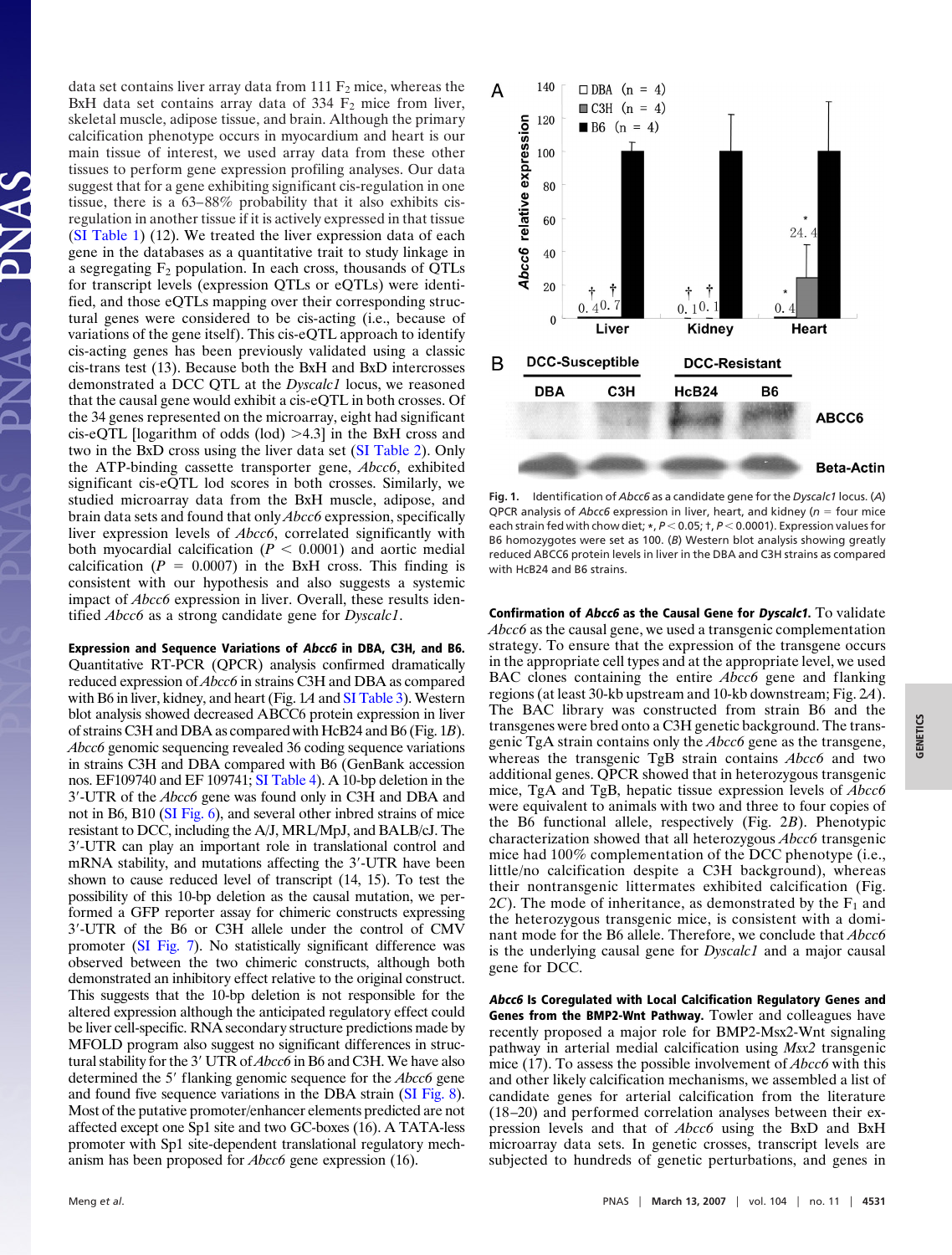data set contains liver array data from 111  $F_2$  mice, whereas the BxH data set contains array data of  $334 \text{ F}_2$  mice from liver, skeletal muscle, adipose tissue, and brain. Although the primary calcification phenotype occurs in myocardium and heart is our main tissue of interest, we used array data from these other tissues to perform gene expression profiling analyses. Our data suggest that for a gene exhibiting significant cis-regulation in one tissue, there is a 63–88% probability that it also exhibits cisregulation in another tissue if it is actively expressed in that tissue [\(SI Table 1\)](http://www.pnas.org/cgi/content/full/0607620104/DC1) (12). We treated the liver expression data of each gene in the databases as a quantitative trait to study linkage in a segregating  $F_2$  population. In each cross, thousands of QTLs for transcript levels (expression QTLs or eQTLs) were identified, and those eQTLs mapping over their corresponding structural genes were considered to be cis-acting (i.e., because of variations of the gene itself). This cis-eQTL approach to identify cis-acting genes has been previously validated using a classic cis-trans test (13). Because both the BxH and BxD intercrosses demonstrated a DCC QTL at the *Dyscalc1* locus, we reasoned that the causal gene would exhibit a cis-eQTL in both crosses. Of the 34 genes represented on the microarray, eight had significant cis-eQTL [logarithm of odds (lod) -4.3] in the BxH cross and two in the BxD cross using the liver data set [\(SI Table 2\)](http://www.pnas.org/cgi/content/full/0607620104/DC1). Only the ATP-binding cassette transporter gene, *Abcc6*, exhibited significant cis-eQTL lod scores in both crosses. Similarly, we studied microarray data from the BxH muscle, adipose, and brain data sets and found that only *Abcc6* expression, specifically liver expression levels of *Abcc6*, correlated significantly with both myocardial calcification ( $P < 0.0001$ ) and aortic medial calcification ( $P = 0.0007$ ) in the BxH cross. This finding is consistent with our hypothesis and also suggests a systemic impact of *Abcc6* expression in liver. Overall, these results identified *Abcc6* as a strong candidate gene for *Dyscalc1*.

**Expression and Sequence Variations of Abcc6 in DBA, C3H, and B6.** Quantitative RT-PCR (QPCR) analysis confirmed dramatically reduced expression of *Abcc6* in strains C3H and DBA as compared with B6 in liver, kidney, and heart (Fig. 1*A* and [SI Table 3\)](http://www.pnas.org/cgi/content/full/0607620104/DC1). Western blot analysis showed decreased ABCC6 protein expression in liver of strains C3H and DBA as compared with HcB24 and B6 (Fig. 1*B*). *Abcc6* genomic sequencing revealed 36 coding sequence variations in strains C3H and DBA compared with B6 (GenBank accession nos. EF109740 and EF 109741; [SI Table 4\)](http://www.pnas.org/cgi/content/full/0607620104/DC1). A 10-bp deletion in the 3-UTR of the *Abcc6* gene was found only in C3H and DBA and not in B6, B10 [\(SI Fig. 6\)](http://www.pnas.org/cgi/content/full/0607620104/DC1), and several other inbred strains of mice resistant to DCC, including the A/J, MRL/MpJ, and BALB/cJ. The 3-UTR can play an important role in translational control and mRNA stability, and mutations affecting the 3-UTR have been shown to cause reduced level of transcript (14, 15). To test the possibility of this 10-bp deletion as the causal mutation, we performed a GFP reporter assay for chimeric constructs expressing 3-UTR of the B6 or C3H allele under the control of CMV promoter [\(SI Fig. 7\)](http://www.pnas.org/cgi/content/full/0607620104/DC1). No statistically significant difference was observed between the two chimeric constructs, although both demonstrated an inhibitory effect relative to the original construct. This suggests that the 10-bp deletion is not responsible for the altered expression although the anticipated regulatory effect could be liver cell-specific. RNA secondary structure predictions made by MFOLD program also suggest no significant differences in structural stability for the 3' UTR of *Abcc6* in B6 and C3H. We have also determined the 5' flanking genomic sequence for the *Abcc6* gene and found five sequence variations in the DBA strain [\(SI Fig. 8\)](http://www.pnas.org/cgi/content/full/0607620104/DC1). Most of the putative promoter/enhancer elements predicted are not affected except one Sp1 site and two GC-boxes (16). A TATA-less promoter with Sp1 site-dependent translational regulatory mechanism has been proposed for *Abcc6* gene expression (16).



**Fig. 1.** Identification of *Abcc6* as a candidate gene for the *Dyscalc1* locus. (*A*) QPCR analysis of *Abcc6* expression in liver, heart, and kidney ( $n =$  four mice each strain fed with chow diet; \*,  $P < 0.05$ ; †,  $P < 0.0001$ ). Expression values for B6 homozygotes were set as 100. (*B*) Western blot analysis showing greatly reduced ABCC6 protein levels in liver in the DBA and C3H strains as compared with HcB24 and B6 strains.

**Confirmation of Abcc6 as the Causal Gene for Dyscalc1.** To validate *Abcc6* as the causal gene, we used a transgenic complementation strategy. To ensure that the expression of the transgene occurs in the appropriate cell types and at the appropriate level, we used BAC clones containing the entire *Abcc6* gene and flanking regions (at least 30-kb upstream and 10-kb downstream; Fig. 2*A*). The BAC library was constructed from strain B6 and the transgenes were bred onto a C3H genetic background. The transgenic TgA strain contains only the *Abcc6* gene as the transgene, whereas the transgenic TgB strain contains *Abcc6* and two additional genes. QPCR showed that in heterozygous transgenic mice, TgA and TgB, hepatic tissue expression levels of *Abcc6* were equivalent to animals with two and three to four copies of the B6 functional allele, respectively (Fig. 2*B*). Phenotypic characterization showed that all heterozygous *Abcc6* transgenic mice had 100% complementation of the DCC phenotype (i.e., little/no calcification despite a C3H background), whereas their nontransgenic littermates exhibited calcification (Fig.  $2*C*$ ). The mode of inheritance, as demonstrated by the  $F_1$  and the heterozygous transgenic mice, is consistent with a dominant mode for the B6 allele. Therefore, we conclude that *Abcc6* is the underlying causal gene for *Dyscalc1* and a major causal gene for DCC.

**Abcc6 Is Coregulated with Local Calcification Regulatory Genes and Genes from the BMP2-Wnt Pathway.** Towler and colleagues have recently proposed a major role for BMP2-Msx2-Wnt signaling pathway in arterial medial calcification using *Msx2* transgenic mice (17). To assess the possible involvement of *Abcc6* with this and other likely calcification mechanisms, we assembled a list of candidate genes for arterial calcification from the literature (18–20) and performed correlation analyses between their expression levels and that of *Abcc6* using the BxD and BxH microarray data sets. In genetic crosses, transcript levels are subjected to hundreds of genetic perturbations, and genes in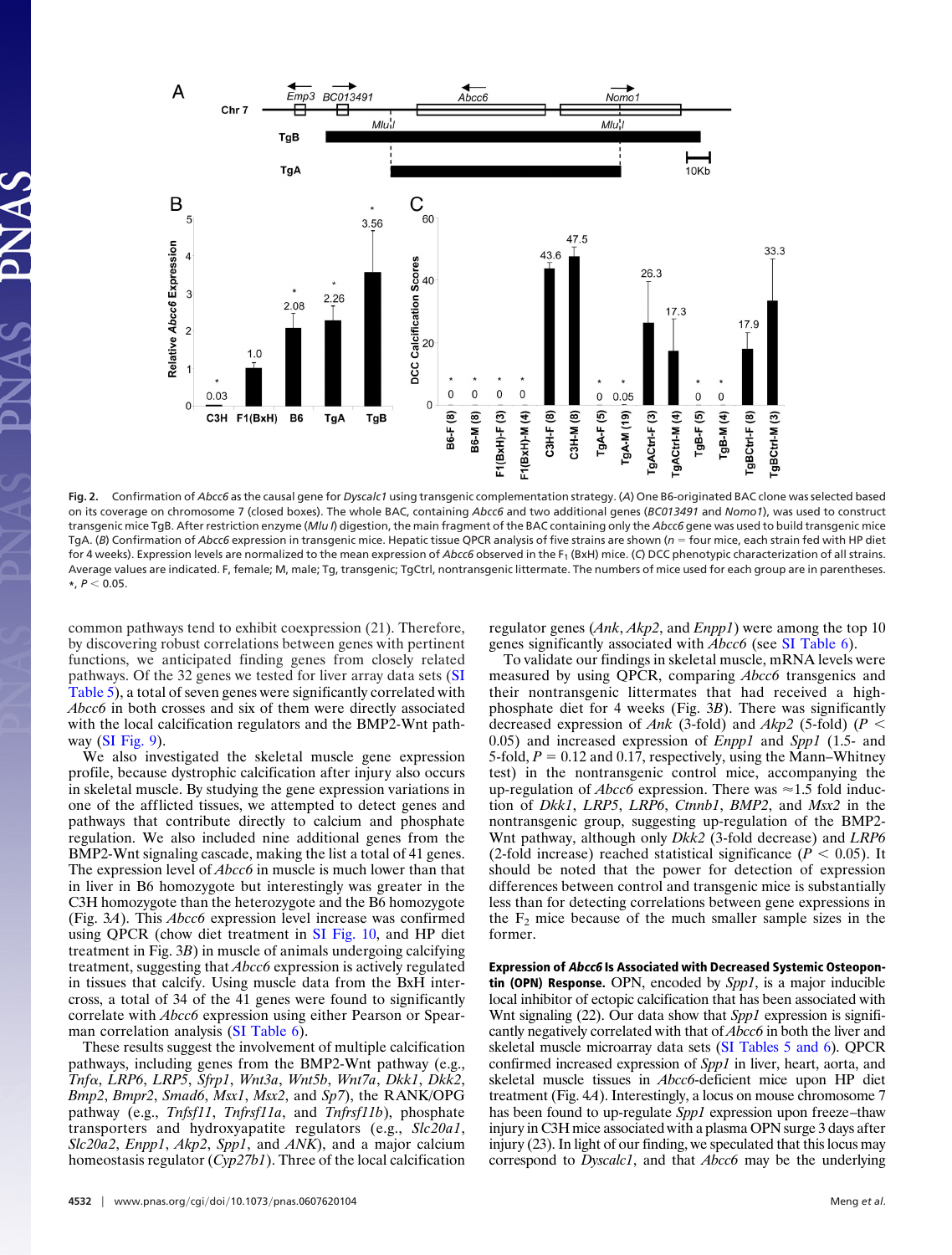

**Fig. 2.** Confirmation of *Abcc6* as the causal gene for *Dyscalc1* using transgenic complementation strategy. (*A*) One B6-originated BAC clone was selected based on its coverage on chromosome 7 (closed boxes). The whole BAC, containing *Abcc6* and two additional genes (*BC013491* and *Nomo1*), was used to construct transgenic mice TgB. After restriction enzyme (*Mlu I*) digestion, the main fragment of the BAC containing only the *Abcc6* gene was used to build transgenic mice TgA. (B) Confirmation of Abcc6 expression in transgenic mice. Hepatic tissue QPCR analysis of five strains are shown ( $n =$  four mice, each strain fed with HP diet for 4 weeks). Expression levels are normalized to the mean expression of *Abcc6* observed in the F<sub>1</sub> (BxH) mice. (C) DCC phenotypic characterization of all strains. Average values are indicated. F, female; M, male; Tg, transgenic; TgCtrl, nontransgenic littermate. The numbers of mice used for each group are in parentheses.  $*$ ,  $P < 0.05$ .

common pathways tend to exhibit coexpression (21). Therefore, by discovering robust correlations between genes with pertinent functions, we anticipated finding genes from closely related pathways. Of the 32 genes we tested for liver array data sets [\(SI](http://www.pnas.org/cgi/content/full/0607620104/DC1) [Table 5\)](http://www.pnas.org/cgi/content/full/0607620104/DC1), a total of seven genes were significantly correlated with *Abcc6* in both crosses and six of them were directly associated with the local calcification regulators and the BMP2-Wnt pathway [\(SI Fig. 9\)](http://www.pnas.org/cgi/content/full/0607620104/DC1).

We also investigated the skeletal muscle gene expression profile, because dystrophic calcification after injury also occurs in skeletal muscle. By studying the gene expression variations in one of the afflicted tissues, we attempted to detect genes and pathways that contribute directly to calcium and phosphate regulation. We also included nine additional genes from the BMP2-Wnt signaling cascade, making the list a total of 41 genes. The expression level of *Abcc6* in muscle is much lower than that in liver in B6 homozygote but interestingly was greater in the C3H homozygote than the heterozygote and the B6 homozygote (Fig. 3*A*). This *Abcc6* expression level increase was confirmed using QPCR (chow diet treatment in [SI Fig. 10,](http://www.pnas.org/cgi/content/full/0607620104/DC1) and HP diet treatment in Fig. 3*B*) in muscle of animals undergoing calcifying treatment, suggesting that *Abcc6* expression is actively regulated in tissues that calcify. Using muscle data from the BxH intercross, a total of 34 of the 41 genes were found to significantly correlate with *Abcc6* expression using either Pearson or Spearman correlation analysis [\(SI Table 6\)](http://www.pnas.org/cgi/content/full/0607620104/DC1).

These results suggest the involvement of multiple calcification pathways, including genes from the BMP2-Wnt pathway (e.g., *Tnf*, *LRP6*, *LRP5*, *Sfrp1*, *Wnt3a*, *Wnt5b*, *Wnt7a*, *Dkk1*, *Dkk2*, *Bmp2*, *Bmpr2*, *Smad6*, *Msx1*, *Msx2*, and *Sp7*), the RANK/OPG pathway (e.g., *Tnfsf11*, *Tnfrsf11a*, and *Tnfrsf11b*), phosphate transporters and hydroxyapatite regulators (e.g., *Slc20a1*, *Slc20a2*, *Enpp1*, *Akp2*, *Spp1*, and *ANK*), and a major calcium homeostasis regulator (*Cyp27b1*). Three of the local calcification regulator genes (*Ank*, *Akp2*, and *Enpp1*) were among the top 10 genes significantly associated with *Abcc6* (see [SI Table 6\)](http://www.pnas.org/cgi/content/full/0607620104/DC1).

33.3

gBCtrl-F (8)

gBCtrl-M (3)

To validate our findings in skeletal muscle, mRNA levels were measured by using QPCR, comparing *Abcc6* transgenics and their nontransgenic littermates that had received a highphosphate diet for 4 weeks (Fig. 3*B*). There was significantly decreased expression of *Ank* (3-fold) and *Akp2* (5-fold) (*P* 0.05) and increased expression of *Enpp1* and *Spp1* (1.5- and 5-fold,  $P = 0.12$  and 0.17, respectively, using the Mann–Whitney test) in the nontransgenic control mice, accompanying the up-regulation of *Abcc6* expression. There was  $\approx$  1.5 fold induction of *Dkk1*, *LRP5*, *LRP6*, *Ctnnb1*, *BMP2*, and *Msx2* in the nontransgenic group, suggesting up-regulation of the BMP2- Wnt pathway, although only *Dkk2* (3-fold decrease) and *LRP6* (2-fold increase) reached statistical significance ( $P < 0.05$ ). It should be noted that the power for detection of expression differences between control and transgenic mice is substantially less than for detecting correlations between gene expressions in the  $F_2$  mice because of the much smaller sample sizes in the former.

**Expression of Abcc6 Is Associated with Decreased Systemic Osteopontin (OPN) Response.** OPN, encoded by *Spp1*, is a major inducible local inhibitor of ectopic calcification that has been associated with Wnt signaling (22). Our data show that *Spp1* expression is significantly negatively correlated with that of *Abcc6* in both the liver and skeletal muscle microarray data sets [\(SI Tables 5 and 6\)](http://www.pnas.org/cgi/content/full/0607620104/DC1). QPCR confirmed increased expression of *Spp1* in liver, heart, aorta, and skeletal muscle tissues in *Abcc6*-deficient mice upon HP diet treatment (Fig. 4*A*). Interestingly, a locus on mouse chromosome 7 has been found to up-regulate *Spp1* expression upon freeze–thaw injury in C3H mice associated with a plasma OPN surge 3 days after injury (23). In light of our finding, we speculated that this locus may correspond to *Dyscalc1*, and that *Abcc6* may be the underlying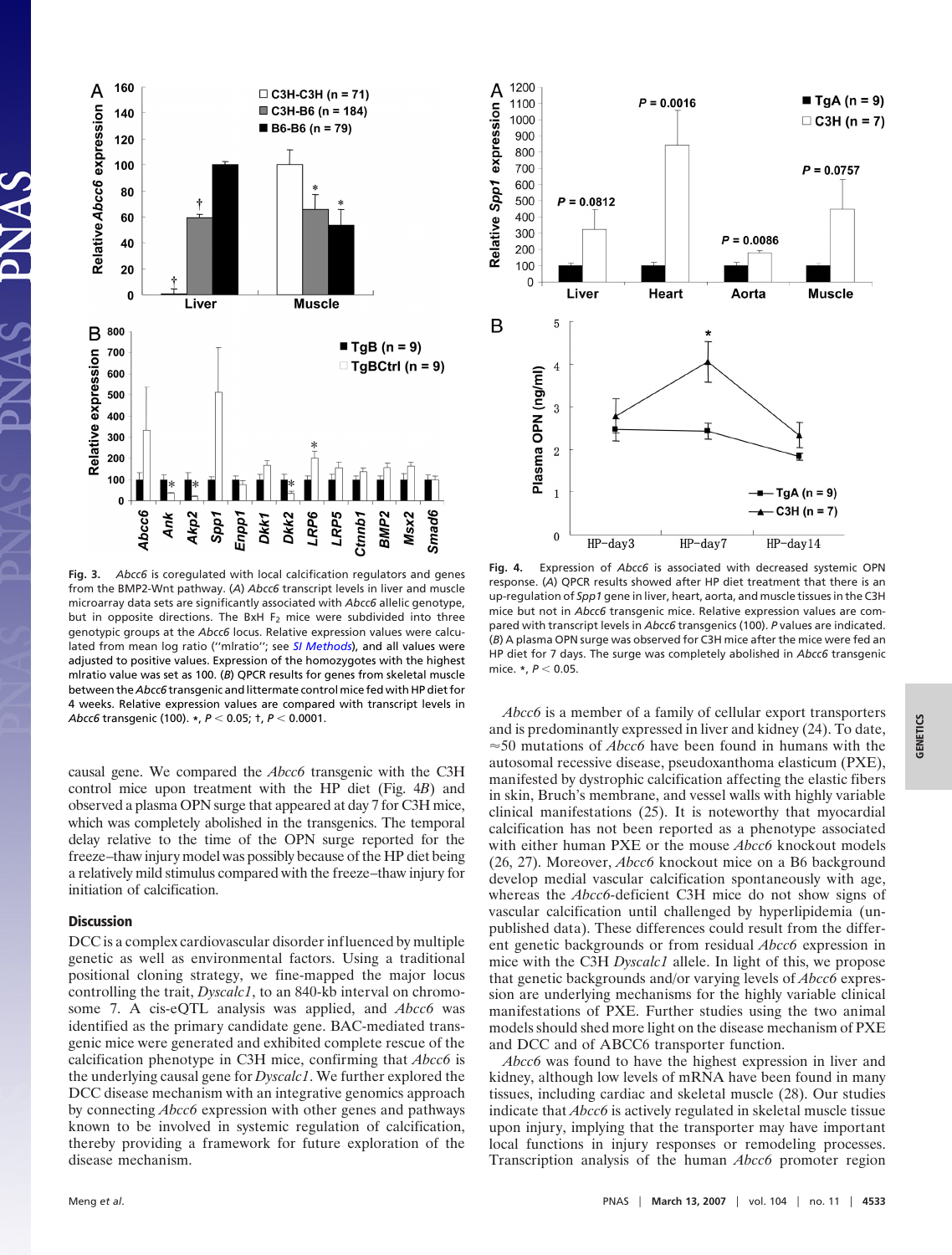

**Fig. 3.** *Abcc6* is coregulated with local calcification regulators and genes from the BMP2-Wnt pathway. (*A*) *Abcc6* transcript levels in liver and muscle microarray data sets are significantly associated with *Abcc6* allelic genotype, but in opposite directions. The BxH  $F_2$  mice were subdivided into three genotypic groups at the *Abcc6* locus. Relative expression values were calculated from mean log ratio (''mlratio''; see *[SI Methods](http://www.pnas.org/cgi/content/full/0607620104/DC1)*), and all values were adjusted to positive values. Expression of the homozygotes with the highest mlratio value was set as 100. (*B*) QPCR results for genes from skeletal muscle between the *Abcc6* transgenic and littermate control mice fed with HP diet for 4 weeks. Relative expression values are compared with transcript levels in *Abcc6* transgenic (100). **\***, *P* 0.05; †, *P* 0.0001.

causal gene. We compared the *Abcc6* transgenic with the C3H control mice upon treatment with the HP diet (Fig. 4*B*) and observed a plasma OPN surge that appeared at day 7 for C3H mice, which was completely abolished in the transgenics. The temporal delay relative to the time of the OPN surge reported for the freeze–thaw injury model was possibly because of the HP diet being a relatively mild stimulus compared with the freeze–thaw injury for initiation of calcification.

## **Discussion**

DCC is a complex cardiovascular disorder influenced by multiple genetic as well as environmental factors. Using a traditional positional cloning strategy, we fine-mapped the major locus controlling the trait, *Dyscalc1*, to an 840-kb interval on chromosome 7. A cis-eQTL analysis was applied, and *Abcc6* was identified as the primary candidate gene. BAC-mediated transgenic mice were generated and exhibited complete rescue of the calcification phenotype in C3H mice, confirming that *Abcc6* is the underlying causal gene for *Dyscalc1*. We further explored the DCC disease mechanism with an integrative genomics approach by connecting *Abcc6* expression with other genes and pathways known to be involved in systemic regulation of calcification, thereby providing a framework for future exploration of the disease mechanism.



**Fig. 4.** Expression of *Abcc6* is associated with decreased systemic OPN response. (*A*) QPCR results showed after HP diet treatment that there is an up-regulation of *Spp1* gene in liver, heart, aorta, and muscle tissues in the C3H mice but not in *Abcc6* transgenic mice. Relative expression values are compared with transcript levels in *Abcc6* transgenics (100). *P* values are indicated. (*B*) A plasma OPN surge was observed for C3H mice after the mice were fed an HP diet for 7 days. The surge was completely abolished in *Abcc6* transgenic mice. **\***,  $P$  < 0.05.

*Abcc6* is a member of a family of cellular export transporters and is predominantly expressed in liver and kidney (24). To date,  $\approx$  50 mutations of *Abcc6* have been found in humans with the autosomal recessive disease, pseudoxanthoma elasticum (PXE), manifested by dystrophic calcification affecting the elastic fibers in skin, Bruch's membrane, and vessel walls with highly variable clinical manifestations (25). It is noteworthy that myocardial calcification has not been reported as a phenotype associated with either human PXE or the mouse *Abcc6* knockout models (26, 27). Moreover, *Abcc6* knockout mice on a B6 background develop medial vascular calcification spontaneously with age, whereas the *Abcc6*-deficient C3H mice do not show signs of vascular calcification until challenged by hyperlipidemia (unpublished data). These differences could result from the different genetic backgrounds or from residual *Abcc6* expression in mice with the C3H *Dyscalc1* allele. In light of this, we propose that genetic backgrounds and/or varying levels of *Abcc6* expression are underlying mechanisms for the highly variable clinical manifestations of PXE. Further studies using the two animal models should shed more light on the disease mechanism of PXE and DCC and of ABCC6 transporter function.

*Abcc6* was found to have the highest expression in liver and kidney, although low levels of mRNA have been found in many tissues, including cardiac and skeletal muscle (28). Our studies indicate that *Abcc6* is actively regulated in skeletal muscle tissue upon injury, implying that the transporter may have important local functions in injury responses or remodeling processes. Transcription analysis of the human *Abcc6* promoter region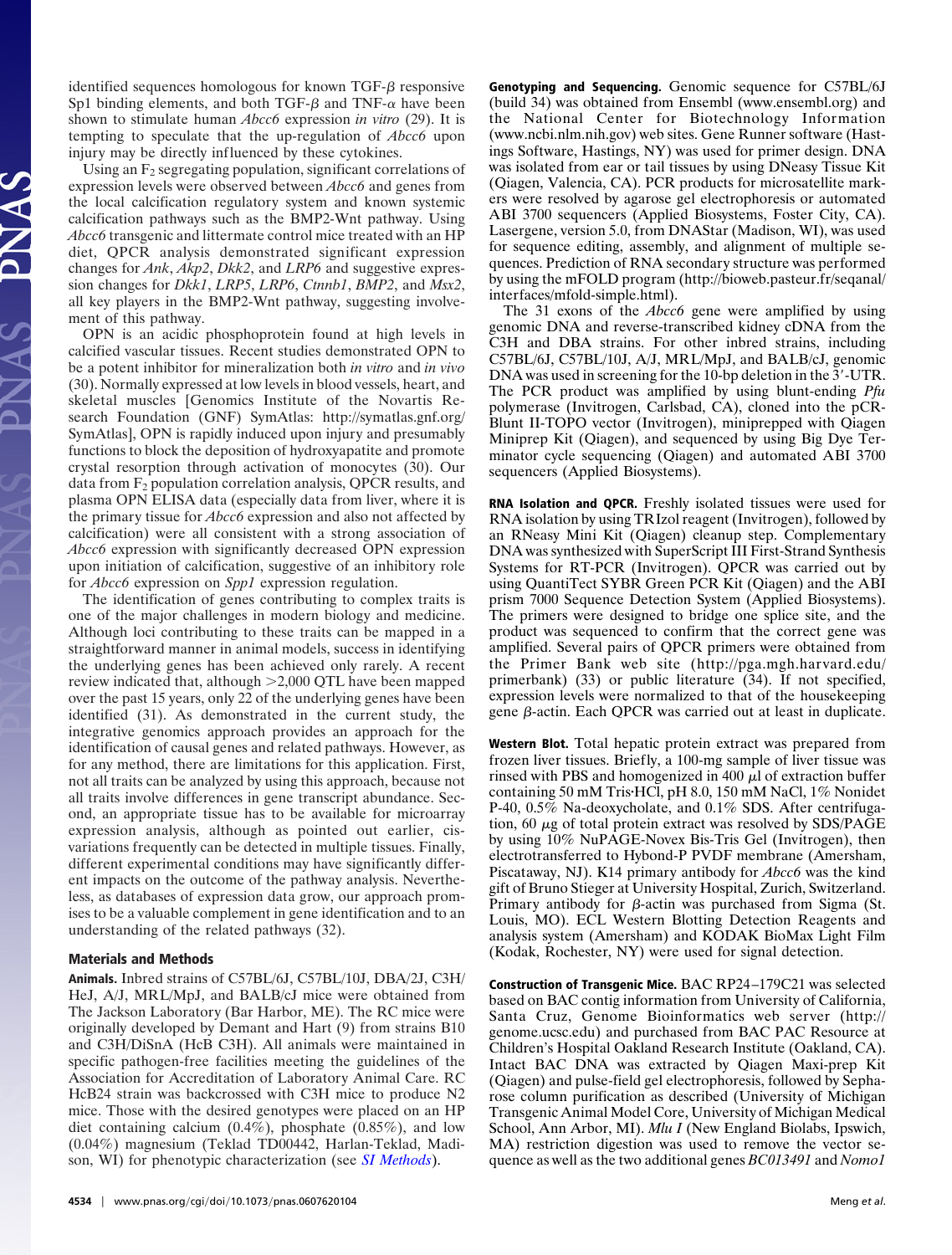identified sequences homologous for known  $TGF-\beta$  responsive Sp1 binding elements, and both TGF- $\beta$  and TNF- $\alpha$  have been shown to stimulate human *Abcc6* expression *in vitro* (29). It is tempting to speculate that the up-regulation of *Abcc6* upon injury may be directly influenced by these cytokines.

Using an  $F_2$  segregating population, significant correlations of expression levels were observed between *Abcc6* and genes from the local calcification regulatory system and known systemic calcification pathways such as the BMP2-Wnt pathway. Using *Abcc6* transgenic and littermate control mice treated with an HP diet, QPCR analysis demonstrated significant expression changes for *Ank*, *Akp2*, *Dkk2*, and *LRP6* and suggestive expression changes for *Dkk1*, *LRP5*, *LRP6*, *Ctnnb1*, *BMP2*, and *Msx2*, all key players in the BMP2-Wnt pathway, suggesting involvement of this pathway.

OPN is an acidic phosphoprotein found at high levels in calcified vascular tissues. Recent studies demonstrated OPN to be a potent inhibitor for mineralization both *in vitro* and *in vivo* (30). Normally expressed at low levels in blood vessels, heart, and skeletal muscles [Genomics Institute of the Novartis Research Foundation (GNF) SymAtlas: http://symatlas.gnf.org/ SymAtlas], OPN is rapidly induced upon injury and presumably functions to block the deposition of hydroxyapatite and promote crystal resorption through activation of monocytes (30). Our data from  $F_2$  population correlation analysis, QPCR results, and plasma OPN ELISA data (especially data from liver, where it is the primary tissue for *Abcc6* expression and also not affected by calcification) were all consistent with a strong association of *Abcc6* expression with significantly decreased OPN expression upon initiation of calcification, suggestive of an inhibitory role for *Abcc6* expression on *Spp1* expression regulation.

The identification of genes contributing to complex traits is one of the major challenges in modern biology and medicine. Although loci contributing to these traits can be mapped in a straightforward manner in animal models, success in identifying the underlying genes has been achieved only rarely. A recent review indicated that, although -2,000 QTL have been mapped over the past 15 years, only 22 of the underlying genes have been identified (31). As demonstrated in the current study, the integrative genomics approach provides an approach for the identification of causal genes and related pathways. However, as for any method, there are limitations for this application. First, not all traits can be analyzed by using this approach, because not all traits involve differences in gene transcript abundance. Second, an appropriate tissue has to be available for microarray expression analysis, although as pointed out earlier, cisvariations frequently can be detected in multiple tissues. Finally, different experimental conditions may have significantly different impacts on the outcome of the pathway analysis. Nevertheless, as databases of expression data grow, our approach promises to be a valuable complement in gene identification and to an understanding of the related pathways (32).

## **Materials and Methods**

**Animals.** Inbred strains of C57BL/6J, C57BL/10J, DBA/2J, C3H/ HeJ, A/J, MRL/MpJ, and BALB/cJ mice were obtained from The Jackson Laboratory (Bar Harbor, ME). The RC mice were originally developed by Demant and Hart (9) from strains B10 and C3H/DiSnA (HcB C3H). All animals were maintained in specific pathogen-free facilities meeting the guidelines of the Association for Accreditation of Laboratory Animal Care. RC HcB24 strain was backcrossed with C3H mice to produce N2 mice. Those with the desired genotypes were placed on an HP diet containing calcium  $(0.4\%)$ , phosphate  $(0.85\%)$ , and low (0.04%) magnesium (Teklad TD00442, Harlan-Teklad, Madison, WI) for phenotypic characterization (see *[SI Methods](http://www.pnas.org/cgi/content/full/0607620104/DC1)*).

**Genotyping and Sequencing.** Genomic sequence for C57BL/6J (build 34) was obtained from Ensembl (www.ensembl.org) and the National Center for Biotechnology Information (www.ncbi.nlm.nih.gov) web sites. Gene Runner software (Hastings Software, Hastings, NY) was used for primer design. DNA was isolated from ear or tail tissues by using DNeasy Tissue Kit (Qiagen, Valencia, CA). PCR products for microsatellite markers were resolved by agarose gel electrophoresis or automated ABI 3700 sequencers (Applied Biosystems, Foster City, CA). Lasergene, version 5.0, from DNAStar (Madison, WI), was used for sequence editing, assembly, and alignment of multiple sequences. Prediction of RNA secondary structure was performed by using the mFOLD program (http://bioweb.pasteur.fr/seqanal/ interfaces/mfold-simple.html).

The 31 exons of the *Abcc6* gene were amplified by using genomic DNA and reverse-transcribed kidney cDNA from the C3H and DBA strains. For other inbred strains, including C57BL/6J, C57BL/10J, A/J, MRL/MpJ, and BALB/cJ, genomic DNA was used in screening for the 10-bp deletion in the 3'-UTR. The PCR product was amplified by using blunt-ending *Pfu* polymerase (Invitrogen, Carlsbad, CA), cloned into the pCR-Blunt II-TOPO vector (Invitrogen), miniprepped with Qiagen Miniprep Kit (Qiagen), and sequenced by using Big Dye Terminator cycle sequencing (Qiagen) and automated ABI 3700 sequencers (Applied Biosystems).

**RNA Isolation and QPCR.** Freshly isolated tissues were used for RNA isolation by using TRIzol reagent (Invitrogen), followed by an RNeasy Mini Kit (Qiagen) cleanup step. Complementary DNA was synthesized with SuperScript III First-Strand Synthesis Systems for RT-PCR (Invitrogen). QPCR was carried out by using QuantiTect SYBR Green PCR Kit (Qiagen) and the ABI prism 7000 Sequence Detection System (Applied Biosystems). The primers were designed to bridge one splice site, and the product was sequenced to confirm that the correct gene was amplified. Several pairs of QPCR primers were obtained from the Primer Bank web site (http://pga.mgh.harvard.edu/ primerbank) (33) or public literature (34). If not specified, expression levels were normalized to that of the housekeeping gene β-actin. Each QPCR was carried out at least in duplicate.

**Western Blot.** Total hepatic protein extract was prepared from frozen liver tissues. Briefly, a 100-mg sample of liver tissue was rinsed with PBS and homogenized in 400  $\mu$ l of extraction buffer containing 50 mM TrisHCl, pH 8.0, 150 mM NaCl, 1% Nonidet P-40, 0.5% Na-deoxycholate, and 0.1% SDS. After centrifugation,  $60 \mu$ g of total protein extract was resolved by SDS/PAGE by using 10% NuPAGE-Novex Bis-Tris Gel (Invitrogen), then electrotransferred to Hybond-P PVDF membrane (Amersham, Piscataway, NJ). K14 primary antibody for *Abcc6* was the kind gift of Bruno Stieger at University Hospital, Zurich, Switzerland. Primary antibody for  $\beta$ -actin was purchased from Sigma (St. Louis, MO). ECL Western Blotting Detection Reagents and analysis system (Amersham) and KODAK BioMax Light Film (Kodak, Rochester, NY) were used for signal detection.

**Construction of Transgenic Mice.** BAC RP24–179C21 was selected based on BAC contig information from University of California, Santa Cruz, Genome Bioinformatics web server (http:// genome.ucsc.edu) and purchased from BAC PAC Resource at Children's Hospital Oakland Research Institute (Oakland, CA). Intact BAC DNA was extracted by Qiagen Maxi-prep Kit (Qiagen) and pulse-field gel electrophoresis, followed by Sepharose column purification as described (University of Michigan Transgenic Animal Model Core, University of Michigan Medical School, Ann Arbor, MI). *Mlu I* (New England Biolabs, Ipswich, MA) restriction digestion was used to remove the vector sequence as well as the two additional genes *BC013491* and *Nomo1*